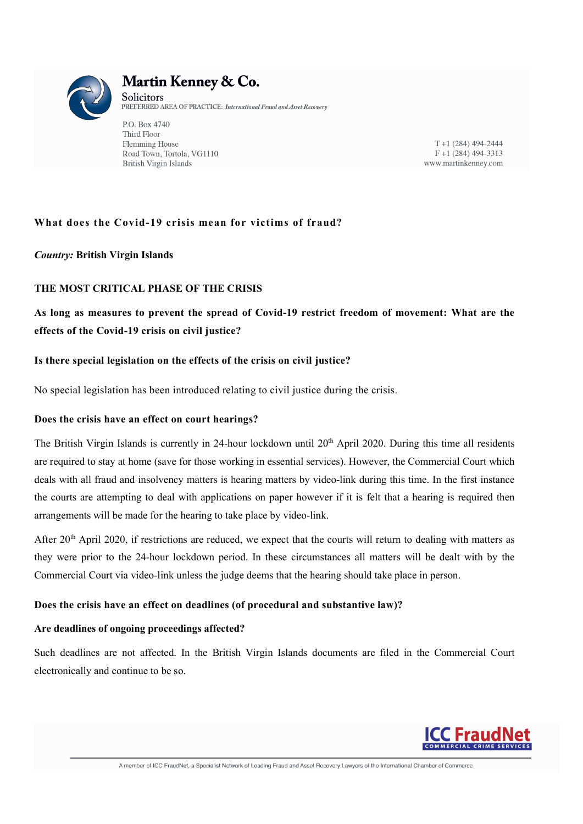

# Martin Kenney & Co.

Solicitors PREFERRED AREA OF PRACTICE: International Fraud and Asset Recovery

P.O. Box 4740 Third Floor Flemming House Road Town, Tortola, VG1110 **British Virgin Islands** 

 $T+1(284)$  494-2444  $F+1(284)$  494-3313 www.martinkenney.com

## What does the Covid-19 crisis mean for victims of fraud?

## Country: British Virgin Islands

## THE MOST CRITICAL PHASE OF THE CRISIS

## As long as measures to prevent the spread of Covid-19 restrict freedom of movement: What are the effects of the Covid-19 crisis on civil justice?

#### Is there special legislation on the effects of the crisis on civil justice?

No special legislation has been introduced relating to civil justice during the crisis.

#### Does the crisis have an effect on court hearings?

The British Virgin Islands is currently in 24-hour lockdown until 20<sup>th</sup> April 2020. During this time all residents are required to stay at home (save for those working in essential services). However, the Commercial Court which deals with all fraud and insolvency matters is hearing matters by video-link during this time. In the first instance the courts are attempting to deal with applications on paper however if it is felt that a hearing is required then arrangements will be made for the hearing to take place by video-link.

After  $20<sup>th</sup>$  April 2020, if restrictions are reduced, we expect that the courts will return to dealing with matters as they were prior to the 24-hour lockdown period. In these circumstances all matters will be dealt with by the Commercial Court via video-link unless the judge deems that the hearing should take place in person.

#### Does the crisis have an effect on deadlines (of procedural and substantive law)?

#### Are deadlines of ongoing proceedings affected?

Such deadlines are not affected. In the British Virgin Islands documents are filed in the Commercial Court electronically and continue to be so.

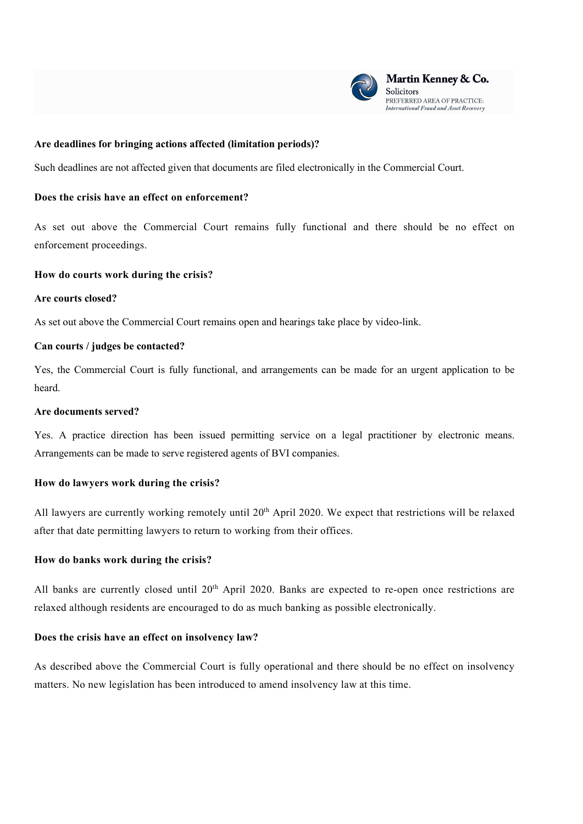

#### Are deadlines for bringing actions affected (limitation periods)?

Such deadlines are not affected given that documents are filed electronically in the Commercial Court.

#### Does the crisis have an effect on enforcement?

As set out above the Commercial Court remains fully functional and there should be no effect on enforcement proceedings.

#### How do courts work during the crisis?

#### Are courts closed?

As set out above the Commercial Court remains open and hearings take place by video-link.

#### Can courts / judges be contacted?

Yes, the Commercial Court is fully functional, and arrangements can be made for an urgent application to be heard.

#### Are documents served?

Yes. A practice direction has been issued permitting service on a legal practitioner by electronic means. Arrangements can be made to serve registered agents of BVI companies.

#### How do lawyers work during the crisis?

All lawyers are currently working remotely until 20<sup>th</sup> April 2020. We expect that restrictions will be relaxed after that date permitting lawyers to return to working from their offices.

#### How do banks work during the crisis?

All banks are currently closed until 20<sup>th</sup> April 2020. Banks are expected to re-open once restrictions are relaxed although residents are encouraged to do as much banking as possible electronically.

#### Does the crisis have an effect on insolvency law?

As described above the Commercial Court is fully operational and there should be no effect on insolvency matters. No new legislation has been introduced to amend insolvency law at this time.